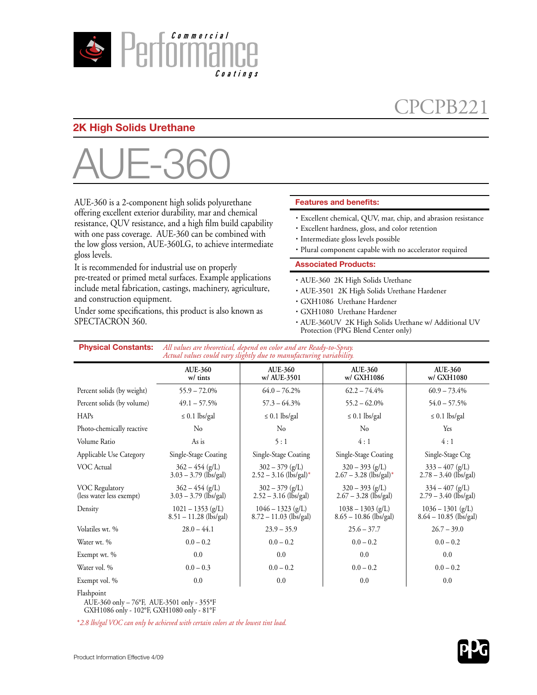

# CPCPB221

## **2K High Solids Urethane**



AUE-360 is a 2-component high solids polyurethane offering excellent exterior durability, mar and chemical resistance, QUV resistance, and a high film build capability with one pass coverage. AUE-360 can be combined with the low gloss version, AUE-360LG, to achieve intermediate gloss levels.

It is recommended for industrial use on properly pre-treated or primed metal surfaces. Example applications include metal fabrication, castings, machinery, agriculture, and construction equipment.

Under some specifications, this product is also known as SPECTACRON 360.

### **Features and benefits:**

- · Excellent chemical, QUV, mar, chip, and abrasion resistance
- · Excellent hardness, gloss, and color retention
- · Intermediate gloss levels possible
- · Plural component capable with no accelerator required

#### **Associated Products:**

- · AUE-360 2K High Solids Urethane
- · AUE-3501 2K High Solids Urethane Hardener
- · GXH1086 Urethane Hardener
- · GXH1080 Urethane Hardener
- · AUE-360UV 2K High Solids Urethane w/ Additional UV Protection (PPG Blend Center only)

| <b>Physical Constants:</b>                 | All values are theoretical, depend on color and are Ready-to-Spray.<br>Actual values could vary slightly due to manufacturing variability. |                                                           |                                                           |                                                 |  |
|--------------------------------------------|--------------------------------------------------------------------------------------------------------------------------------------------|-----------------------------------------------------------|-----------------------------------------------------------|-------------------------------------------------|--|
|                                            | <b>AUE-360</b><br>w/ tints                                                                                                                 | <b>AUE-360</b><br>w/ AUE-3501                             | <b>AUE-360</b><br>w/ GXH1086                              | <b>AUE-360</b><br>w/ GXH1080                    |  |
| Percent solids (by weight)                 | $55.9 - 72.0\%$                                                                                                                            | $64.0 - 76.2\%$                                           | $62.2 - 74.4\%$                                           | $60.9 - 73.4\%$                                 |  |
| Percent solids (by volume)                 | $49.1 - 57.5\%$                                                                                                                            | $57.3 - 64.3\%$                                           | $55.2 - 62.0\%$                                           | $54.0 - 57.5\%$                                 |  |
| HAPs                                       | $\leq 0.1$ lbs/gal                                                                                                                         | $\leq 0.1$ lbs/gal                                        | $\leq 0.1$ lbs/gal                                        | $\leq 0.1$ lbs/gal                              |  |
| Photo-chemically reactive                  | No                                                                                                                                         | N <sub>0</sub>                                            | $\rm No$                                                  | Yes                                             |  |
| Volume Ratio                               | As is                                                                                                                                      | 5:1                                                       | 4:1                                                       | 4:1                                             |  |
| Applicable Use Category                    | Single-Stage Coating                                                                                                                       | Single-Stage Coating                                      | Single-Stage Coating                                      | Single-Stage Ctg                                |  |
| VOC Actual                                 | $362 - 454$ (g/L)<br>$3.03 - 3.79$ (lbs/gal)                                                                                               | $302 - 379$ (g/L)<br>$2.52 - 3.16$ (lbs/gal) <sup>*</sup> | $320 - 393$ (g/L)<br>$2.67 - 3.28$ (lbs/gal) <sup>*</sup> | $333 - 407$ (g/L)<br>$2.78 - 3.40$ (lbs/gal)    |  |
| VOC Regulatory<br>(less water less exempt) | $362 - 454$ (g/L)<br>$3.03 - 3.79$ (lbs/gal)                                                                                               | $302 - 379$ (g/L)<br>$2.52 - 3.16$ (lbs/gal)              | $320 - 393$ (g/L)<br>$2.67 - 3.28$ (lbs/gal)              | $334 - 407$ (g/L)<br>$2.79 - 3.40$ (lbs/gal)    |  |
| Density                                    | $1021 - 1353$ (g/L)<br>$8.51 - 11.28$ (lbs/gal)                                                                                            | $1046 - 1323$ (g/L)<br>$8.72 - 11.03$ (lbs/gal)           | $1038 - 1303$ (g/L)<br>$8.65 - 10.86$ (lbs/gal)           | $1036 - 1301$ (g/L)<br>$8.64 - 10.85$ (lbs/gal) |  |
| Volatiles wt. %                            | $28.0 - 44.1$                                                                                                                              | $23.9 - 35.9$                                             | $25.6 - 37.7$                                             | $26.7 - 39.0$                                   |  |
| Water wt. %                                | $0.0 - 0.2$                                                                                                                                | $0.0 - 0.2$                                               | $0.0 - 0.2$                                               | $0.0 - 0.2$                                     |  |
| Exempt wt. %                               | 0.0                                                                                                                                        | 0.0                                                       | 0.0                                                       | 0.0                                             |  |
| Water vol. %                               | $0.0 - 0.3$                                                                                                                                | $0.0 - 0.2$                                               | $0.0 - 0.2$                                               | $0.0 - 0.2$                                     |  |
| Exempt vol. %                              | 0.0                                                                                                                                        | 0.0                                                       | 0.0                                                       | 0.0                                             |  |

Flashpoint

AUE-360 only – 76°F, AUE-3501 only - 355°F GXH1086 only - 102°F, GXH1080 only - 81°F

\**2.8 lbs/gal VOC can only be achieved with certain colors at the lowest tint load.*

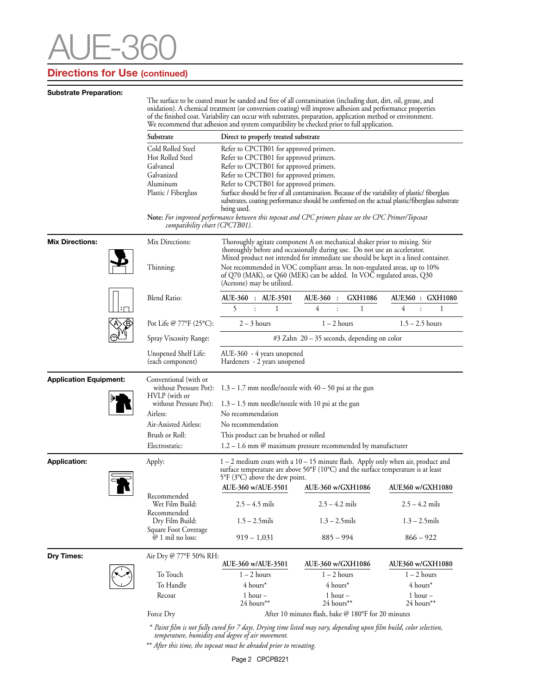# $-3$

# **Directions for Use (continued)**

| <b>Substrate Preparation:</b> |                                                                                                                                                                                                                                                                                                                                                                                                                                         |                                                                                                                                                                                                                                                                      |                                                                                                                                                                                                                                                                                                          |                            |  |  |
|-------------------------------|-----------------------------------------------------------------------------------------------------------------------------------------------------------------------------------------------------------------------------------------------------------------------------------------------------------------------------------------------------------------------------------------------------------------------------------------|----------------------------------------------------------------------------------------------------------------------------------------------------------------------------------------------------------------------------------------------------------------------|----------------------------------------------------------------------------------------------------------------------------------------------------------------------------------------------------------------------------------------------------------------------------------------------------------|----------------------------|--|--|
|                               | The surface to be coated must be sanded and free of all contamination (including dust, dirt, oil, grease, and<br>oxidation). A chemical treatment (or conversion coating) will improve adhesion and performance properties<br>of the finished coat. Variability can occur with substrates, preparation, application method or environment.<br>We recommend that adhesion and system compatibility be checked prior to full application. |                                                                                                                                                                                                                                                                      |                                                                                                                                                                                                                                                                                                          |                            |  |  |
|                               | Substrate<br>Direct to properly treated substrate                                                                                                                                                                                                                                                                                                                                                                                       |                                                                                                                                                                                                                                                                      |                                                                                                                                                                                                                                                                                                          |                            |  |  |
|                               | Cold Rolled Steel<br>Hot Rolled Steel<br>Galvaneal<br>Galvanized<br>Aluminum<br>Plastic / Fiberglass<br>compatibility chart (CPCTB01).                                                                                                                                                                                                                                                                                                  | Refer to CPCTB01 for approved primers.<br>Refer to CPCTB01 for approved primers.<br>Refer to CPCTB01 for approved primers.<br>Refer to CPCTB01 for approved primers.<br>Refer to CPCTB01 for approved primers.<br>being used.                                        | Surface should be free of all contamination. Because of the variability of plastic/fiberglass<br>substrates, coating performance should be confirmed on the actual plastic/fiberglass substrate<br>Note: For improved performance between this topcoat and CPC primers please see the CPC Primer/Topcoat |                            |  |  |
| <b>Mix Directions:</b>        | Mix Directions:                                                                                                                                                                                                                                                                                                                                                                                                                         | Thoroughly agitate component A on mechanical shaker prior to mixing. Stir<br>thoroughly before and occasionally during use. Do not use an accelerator.                                                                                                               |                                                                                                                                                                                                                                                                                                          |                            |  |  |
|                               | Thinning:                                                                                                                                                                                                                                                                                                                                                                                                                               | Mixed product not intended for immediate use should be kept in a lined container.<br>Not recommended in VOC compliant areas. In non-regulated areas, up to 10%<br>of Q70 (MAK), or Q60 (MEK) can be added. In VOC regulated areas, Q30<br>(Acetone) may be utilized. |                                                                                                                                                                                                                                                                                                          |                            |  |  |
|                               | Blend Ratio:                                                                                                                                                                                                                                                                                                                                                                                                                            | AUE-360 : AUE-3501<br>5<br>1                                                                                                                                                                                                                                         | AUE-360 :<br><b>GXH1086</b><br>$\overline{4}$<br>1                                                                                                                                                                                                                                                       | AUE360 : GXH1080<br>4<br>1 |  |  |
|                               | Pot Life @ 77°F (25°C):                                                                                                                                                                                                                                                                                                                                                                                                                 | $2 - 3$ hours                                                                                                                                                                                                                                                        | $1 - 2$ hours                                                                                                                                                                                                                                                                                            | $1.5 - 2.5$ hours          |  |  |
|                               | Spray Viscosity Range:                                                                                                                                                                                                                                                                                                                                                                                                                  | $#3$ Zahn $20 - 35$ seconds, depending on color                                                                                                                                                                                                                      |                                                                                                                                                                                                                                                                                                          |                            |  |  |
|                               | Unopened Shelf Life:<br>(each component)                                                                                                                                                                                                                                                                                                                                                                                                | AUE-360 - 4 years unopened<br>Hardeners - 2 years unopened                                                                                                                                                                                                           |                                                                                                                                                                                                                                                                                                          |                            |  |  |
| <b>Application Equipment:</b> | Conventional (with or<br>HVLP (with or<br>without Pressure Pot):<br>Airless:<br>Air-Assisted Airless:<br>Brush or Roll:<br>Electrostatic:                                                                                                                                                                                                                                                                                               | without Pressure Pot): $1.3 - 1.7$ mm needle/nozzle with $40 - 50$ psi at the gun<br>$1.3 - 1.5$ mm needle/nozzle with 10 psi at the gun<br>No recommendation<br>No recommendation<br>This product can be brushed or rolled                                          | $1.2 - 1.6$ mm @ maximum pressure recommended by manufacturer                                                                                                                                                                                                                                            |                            |  |  |
| <b>Application:</b>           | Apply:                                                                                                                                                                                                                                                                                                                                                                                                                                  | $1 - 2$ medium coats with a $10 - 15$ minute flash. Apply only when air, product and<br>surface temperature are above 50°F (10°C) and the surface temperature is at least<br>5°F (3°C) above the dew point.                                                          |                                                                                                                                                                                                                                                                                                          |                            |  |  |
|                               | Recommended                                                                                                                                                                                                                                                                                                                                                                                                                             | AUE-360 w/AUE-3501                                                                                                                                                                                                                                                   | AUE-360 w/GXH1086                                                                                                                                                                                                                                                                                        | AUE360 w/GXH1080           |  |  |
|                               | Wet Film Build:                                                                                                                                                                                                                                                                                                                                                                                                                         | $2.5 - 4.5$ mils                                                                                                                                                                                                                                                     | $2.5 - 4.2$ mils                                                                                                                                                                                                                                                                                         | $2.5 - 4.2$ mils           |  |  |
|                               | Recommended<br>Dry Film Build:                                                                                                                                                                                                                                                                                                                                                                                                          | $1.5 - 2.5$ mils                                                                                                                                                                                                                                                     | $1.3 - 2.5$ mils                                                                                                                                                                                                                                                                                         | $1.3 - 2.5$ mils           |  |  |
|                               | Square Foot Coverage<br>@ 1 mil no loss:                                                                                                                                                                                                                                                                                                                                                                                                | $919 - 1,031$                                                                                                                                                                                                                                                        | $885 - 994$                                                                                                                                                                                                                                                                                              | $866 - 922$                |  |  |
| Dry Times:                    | Air Dry @ 77°F 50% RH:                                                                                                                                                                                                                                                                                                                                                                                                                  | AUE-360 w/AUE-3501                                                                                                                                                                                                                                                   | AUE-360 w/GXH1086                                                                                                                                                                                                                                                                                        | <b>AUE360 w/GXH1080</b>    |  |  |
|                               | To Touch                                                                                                                                                                                                                                                                                                                                                                                                                                | $1 - 2$ hours                                                                                                                                                                                                                                                        | $1 - 2$ hours                                                                                                                                                                                                                                                                                            | $1 - 2$ hours              |  |  |
|                               | To Handle                                                                                                                                                                                                                                                                                                                                                                                                                               | 4 hours*                                                                                                                                                                                                                                                             | 4 hours*                                                                                                                                                                                                                                                                                                 | 4 hours*                   |  |  |
|                               | Recoat                                                                                                                                                                                                                                                                                                                                                                                                                                  | 1 hour $-$<br>24 hours**                                                                                                                                                                                                                                             | $1 hour -$<br>24 hours**                                                                                                                                                                                                                                                                                 | 1 hour $-$<br>24 hours**   |  |  |
|                               | Force Dry                                                                                                                                                                                                                                                                                                                                                                                                                               | After 10 minutes flash, bake @ 180°F for 20 minutes                                                                                                                                                                                                                  |                                                                                                                                                                                                                                                                                                          |                            |  |  |

\* *Paint film is not fully cured for 7 days. Drying time listed may vary, depending upon film build, color selection, temperature, humidity and degree of air movement.* 

\*\* *After this time, the topcoat must be abraded prior to recoating.*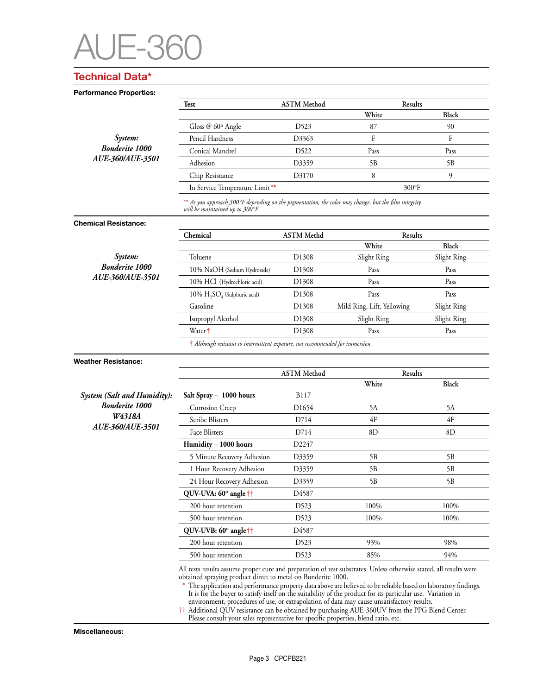

## **Technical Data\***

**Performance Properties:** 

|                             | Test                                                                                                                                    | <b>ASTM</b> Method | Results                          |              |  |  |
|-----------------------------|-----------------------------------------------------------------------------------------------------------------------------------------|--------------------|----------------------------------|--------------|--|--|
|                             |                                                                                                                                         |                    | White                            | <b>Black</b> |  |  |
|                             | Gloss @ 60° Angle                                                                                                                       | D523               | 87                               | 90           |  |  |
| System:                     | Pencil Hardness                                                                                                                         | D3363              | $\mathbf{F}$                     | ${\rm F}$    |  |  |
| <b>Bonderite 1000</b>       | Conical Mandrel                                                                                                                         | D522               | Pass                             | Pass         |  |  |
| AUE-360/AUE-3501            | Adhesion                                                                                                                                | D3359              | 5B                               | 5B           |  |  |
|                             | Chip Resistance                                                                                                                         | D3170              | 8                                | 9            |  |  |
|                             | In Service Temperature Limit**                                                                                                          |                    | 300°F                            |              |  |  |
|                             | ** As you approach 300°F depending on the pigmentation, the color may change, but the film integrity<br>will be maintained up to 300°F. |                    |                                  |              |  |  |
| <b>Chemical Resistance:</b> |                                                                                                                                         |                    |                                  |              |  |  |
|                             | Chemical                                                                                                                                | <b>ASTM</b> Methd  | Results<br>White                 | <b>Black</b> |  |  |
| System:                     | Toluene                                                                                                                                 | D1308              | Slight Ring                      | Slight Ring  |  |  |
| <b>Bonderite 1000</b>       | 10% NaOH (Sodium Hydroxide)                                                                                                             | D <sub>1308</sub>  | Pass                             | Pass         |  |  |
| AUE-360/AUE-3501            | 10% HCl (Hydrochloric acid)                                                                                                             | D <sub>1308</sub>  | Pass                             | Pass         |  |  |
|                             | $10\% \text{ H}_2\text{SO}_4$ (Sulphuric acid)                                                                                          | D1308              | Pass                             | Pass         |  |  |
|                             | Gasoline                                                                                                                                | D <sub>1308</sub>  | Mild Ring, Lift, Yellowing       | Slight Ring  |  |  |
|                             | Isopropyl Alcohol                                                                                                                       | D <sub>1308</sub>  | Slight Ring                      | Slight Ring  |  |  |
|                             | Water <sup>†</sup>                                                                                                                      | D <sub>1308</sub>  | Pass                             | Pass         |  |  |
|                             | $\dagger$ Although resistant to intermittent exposure, not recommended for immersion.                                                   |                    |                                  |              |  |  |
| <b>Weather Resistance:</b>  |                                                                                                                                         |                    |                                  |              |  |  |
|                             |                                                                                                                                         | <b>ASTM</b> Method | Results<br>White<br><b>Black</b> |              |  |  |
| System (Salt and Humidity): | Salt Spray - 1000 hours                                                                                                                 | <b>B117</b>        |                                  |              |  |  |
| <b>Bonderite 1000</b>       | Corrosion Creep                                                                                                                         | D <sub>1654</sub>  | 5A                               | 5A           |  |  |
| W4318A                      | Scribe Blisters                                                                                                                         | D714               | 4F                               | 4F           |  |  |
| AUE-360/AUE-3501            | Face Blisters                                                                                                                           | D714               | 8D                               | 8D           |  |  |
|                             | Humidity - 1000 hours                                                                                                                   | D2247              |                                  |              |  |  |
|                             | 5 Minute Recovery Adhesion                                                                                                              | D3359              | 5B                               | 5B           |  |  |
|                             | 1 Hour Recovery Adhesion                                                                                                                | D3359              | 5B                               | 5B           |  |  |
|                             | 24 Hour Recovery Adhesion                                                                                                               | D3359              | 5B                               | 5B           |  |  |
|                             | QUV-UVA: 60° angle ††                                                                                                                   | D4587              |                                  |              |  |  |
|                             | 200 hour retention                                                                                                                      | D <sub>523</sub>   | 100%                             | 100%         |  |  |
|                             | 500 hour retention                                                                                                                      | D523               | 100%                             | 100%         |  |  |

500 hour retention D523 100% 100% **QUV-UVB: 60° angle**†† D4587 200 hour retention D523 93% 98% 500 hour retention D523 85% 94%

All tests results assume proper cure and preparation of test substrates. Unless otherwise stated, all results were obtained spraying product direct to metal on Bonderite 1000.

 \* The application and performance property data above are believed to be reliable based on laboratory findings. It is for the buyer to satisfy itself on the suitability of the product for its particular use. Variation in environment, procedures of use, or extrapolation of data may cause unsatisfactory results.

†† Additional QUV resistance can be obtained by purchasing AUE-360UV from the PPG Blend Center. Please consult your sales representative for specific properties, blend ratio, etc.

**Miscellaneous:**